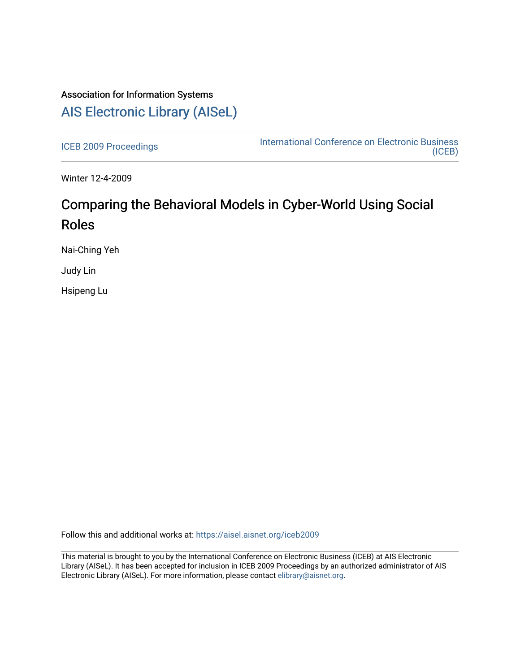## Association for Information Systems [AIS Electronic Library \(AISeL\)](https://aisel.aisnet.org/)

[ICEB 2009 Proceedings](https://aisel.aisnet.org/iceb2009) **International Conference on Electronic Business** [\(ICEB\)](https://aisel.aisnet.org/iceb) 

Winter 12-4-2009

# Comparing the Behavioral Models in Cyber-World Using Social Roles

Nai-Ching Yeh

Judy Lin

Hsipeng Lu

Follow this and additional works at: [https://aisel.aisnet.org/iceb2009](https://aisel.aisnet.org/iceb2009?utm_source=aisel.aisnet.org%2Ficeb2009%2F148&utm_medium=PDF&utm_campaign=PDFCoverPages)

This material is brought to you by the International Conference on Electronic Business (ICEB) at AIS Electronic Library (AISeL). It has been accepted for inclusion in ICEB 2009 Proceedings by an authorized administrator of AIS Electronic Library (AISeL). For more information, please contact [elibrary@aisnet.org.](mailto:elibrary@aisnet.org%3E)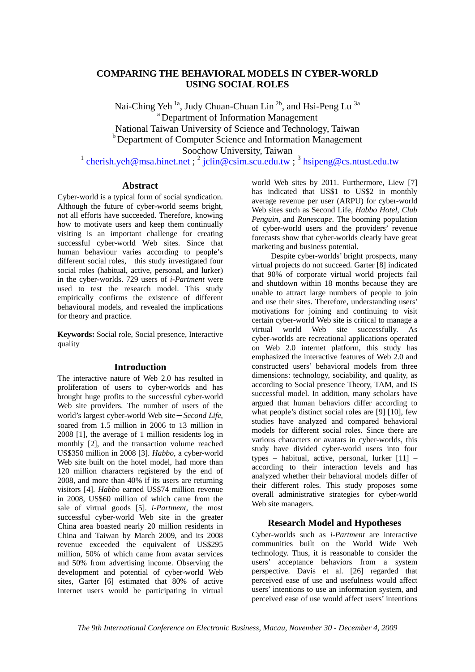## **COMPARING THE BEHAVIORAL MODELS IN CYBER-WORLD USING SOCIAL ROLES**

Nai-Ching Yeh<sup>1a</sup>, Judy Chuan-Chuan Lin<sup>2b</sup>, and Hsi-Peng Lu<sup>3a</sup> a Department of Information Management National Taiwan University of Science and Technology, Taiwan **b** Department of Computer Science and Information Management Soochow University, Taiwan

 $\frac{1}{1}$  cherish.yeh@msa.hinet.net;  $\frac{2}{1}$  jclin@csim.scu.edu.tw;  $\frac{3}{1}$  hsipeng@cs.ntust.edu.tw

## **Abstract**

Cyber-world is a typical form of social syndication. Although the future of cyber-world seems bright, not all efforts have succeeded. Therefore, knowing how to motivate users and keep them continually visiting is an important challenge for creating successful cyber-world Web sites. Since that human behaviour varies according to people's different social roles, this study investigated four social roles (habitual, active, personal, and lurker) in the cyber-worlds. 729 users of *i-Partment* were used to test the research model. This study empirically confirms the existence of different behavioural models, and revealed the implications for theory and practice.

**Keywords:** Social role, Social presence, Interactive quality

#### **Introduction**

The interactive nature of Web 2.0 has resulted in proliferation of users to cyber-worlds and has brought huge profits to the successful cyber-world Web site providers. The number of users of the world's largest cyber-world Web site-*Second Life*, soared from 1.5 million in 2006 to 13 million in 2008 [1], the average of 1 million residents log in monthly [2], and the transaction volume reached US\$350 million in 2008 [3]. *Habbo*, a cyber-world Web site built on the hotel model, had more than 120 million characters registered by the end of 2008, and more than 40% if its users are returning visitors [4]. *Habbo* earned US\$74 million revenue in 2008, US\$60 million of which came from the sale of virtual goods [5]. *i-Partment*, the most successful cyber-world Web site in the greater China area boasted nearly 20 million residents in China and Taiwan by March 2009, and its 2008 revenue exceeded the equivalent of US\$295 million, 50% of which came from avatar services and 50% from advertising income. Observing the development and potential of cyber-world Web sites, Garter [6] estimated that 80% of active Internet users would be participating in virtual

world Web sites by 2011. Furthermore, Liew [7] has indicated that US\$1 to US\$2 in monthly average revenue per user (ARPU) for cyber-world Web sites such as Second Life, *Habbo Hotel*, *Club Penguin*, and *Runescape*. The booming population of cyber-world users and the providers' revenue forecasts show that cyber-worlds clearly have great marketing and business potential.

 Despite cyber-worlds' bright prospects, many virtual projects do not succeed. Garter [8] indicated that 90% of corporate virtual world projects fail and shutdown within 18 months because they are unable to attract large numbers of people to join and use their sites. Therefore, understanding users' motivations for joining and continuing to visit certain cyber-world Web site is critical to manage a virtual world Web site successfully. As cyber-worlds are recreational applications operated on Web 2.0 internet platform, this study has emphasized the interactive features of Web 2.0 and constructed users' behavioral models from three dimensions: technology, sociability, and quality, as according to Social presence Theory, TAM, and IS successful model. In addition, many scholars have argued that human behaviors differ according to what people's distinct social roles are [9] [10], few studies have analyzed and compared behavioral models for different social roles. Since there are various characters or avatars in cyber-worlds, this study have divided cyber-world users into four types – habitual, active, personal, lurker [11] – according to their interaction levels and has analyzed whether their behavioral models differ of their different roles. This study proposes some overall administrative strategies for cyber-world Web site managers.

## **Research Model and Hypotheses**

Cyber-worlds such as *i-Partment* are interactive communities built on the World Wide Web technology. Thus, it is reasonable to consider the users' acceptance behaviors from a system perspective. Davis et al. [26] regarded that perceived ease of use and usefulness would affect users' intentions to use an information system, and perceived ease of use would affect users' intentions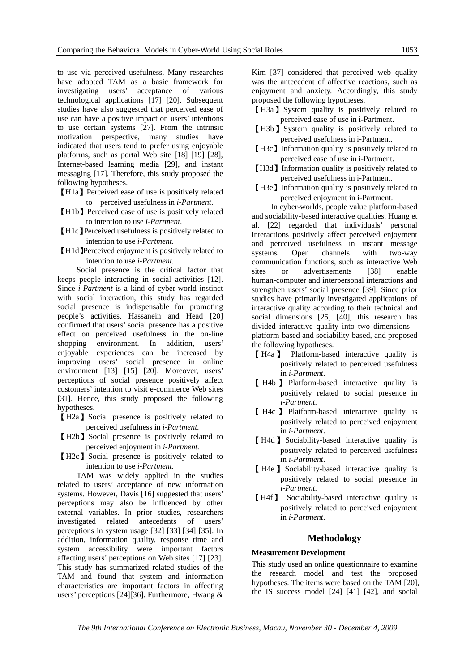to use via perceived usefulness. Many researches have adopted TAM as a basic framework for investigating users' acceptance of various technological applications [17] [20]. Subsequent studies have also suggested that perceived ease of use can have a positive impact on users' intentions to use certain systems [27]. From the intrinsic motivation perspective, many studies have indicated that users tend to prefer using enjoyable platforms, such as portal Web site [18] [19] [28], Internet-based learning media [29], and instant messaging [17]. Therefore, this study proposed the following hypotheses.

- 【H1a】Perceived ease of use is positively related to perceived usefulness in *i-Partment*.
- 【H1b】Perceived ease of use is positively related to intention to use *i-Partment*.
- 【H1c】Perceived usefulness is positively related to intention to use *i-Partment*.
- 【H1d】Perceived enjoyment is positively related to intention to use *i-Partment*.

 Social presence is the critical factor that keeps people interacting in social activities [12]. Since *i-Partment* is a kind of cyber-world instinct with social interaction, this study has regarded social presence is indispensable for promoting people's activities. Hassanein and Head [20] confirmed that users' social presence has a positive effect on perceived usefulness in the on-line shopping environment. In addition, users' enjoyable experiences can be increased by improving users' social presence in online environment [13] [15] [20]. Moreover, users' perceptions of social presence positively affect customers' intention to visit e-commerce Web sites [31]. Hence, this study proposed the following hypotheses.

- 【H2a】Social presence is positively related to perceived usefulness in *i-Partment*.
- 【H2b】Social presence is positively related to perceived enjoyment in *i-Partment.*
- 【H2c】Social presence is positively related to intention to use *i-Partment*.

 TAM was widely applied in the studies related to users' acceptance of new information systems. However, Davis [16] suggested that users' perceptions may also be influenced by other external variables. In prior studies, researchers investigated related antecedents of users' perceptions in system usage [32] [33] [34] [35]. In addition, information quality, response time and system accessibility were important factors affecting users' perceptions on Web sites [17] [23]. This study has summarized related studies of the TAM and found that system and information characteristics are important factors in affecting users' perceptions [24][36]. Furthermore, Hwang &

Kim [37] considered that perceived web quality was the antecedent of affective reactions, such as enjoyment and anxiety. Accordingly, this study proposed the following hypotheses.

- 【H3a】System quality is positively related to perceived ease of use in i-Partment.
- 【H3b】System quality is positively related to perceived usefulness in i-Partment.
- 【H3c】Information quality is positively related to perceived ease of use in i-Partment.
- 【H3d】Information quality is positively related to perceived usefulness in i-Partment.
- 【H3e】Information quality is positively related to perceived enjoyment in i-Partment.

 In cyber-worlds, people value platform-based and sociability-based interactive qualities. Huang et al. [22] regarded that individuals' personal interactions positively affect perceived enjoyment and perceived usefulness in instant message systems. Open channels with two-way communication functions, such as interactive Web sites or advertisements [38] enable human-computer and interpersonal interactions and strengthen users' social presence [39]. Since prior studies have primarily investigated applications of interactive quality according to their technical and social dimensions [25] [40], this research has divided interactive quality into two dimensions – platform-based and sociability-based, and proposed the following hypotheses.

- 【 H4a 】 Platform-based interactive quality is positively related to perceived usefulness in *i-Partment*.
- 【 H4b 】 Platform-based interactive quality is positively related to social presence in *i-Partment*.
- 【 H4c 】 Platform-based interactive quality is positively related to perceived enjoyment in *i-Partment*.
- 【H4d】Sociability-based interactive quality is positively related to perceived usefulness in *i-Partment*.
- 【 H4e 】Sociability-based interactive quality is positively related to social presence in *i-Partment*.
- 【H4f】 Sociability-based interactive quality is positively related to perceived enjoyment in *i-Partment*.

## **Methodology**

## **Measurement Development**

This study used an online questionnaire to examine the research model and test the proposed hypotheses. The items were based on the TAM [20], the IS success model [24] [41] [42], and social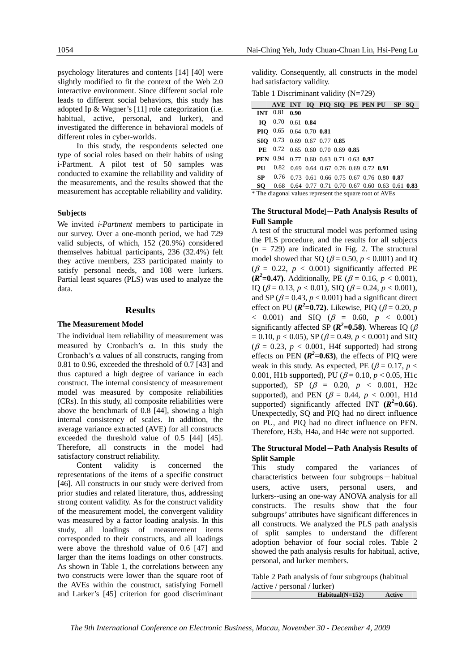psychology literatures and contents [14] [40] were slightly modified to fit the context of the Web 2.0 interactive environment. Since different social role leads to different social behaviors, this study has adopted Ip & Wagner's [11] role categorization (i.e. habitual, active, personal, and lurker), and investigated the difference in behavioral models of different roles in cyber-worlds.

 In this study, the respondents selected one type of social roles based on their habits of using i-Partment. A pilot test of 50 samples was conducted to examine the reliability and validity of the measurements, and the results showed that the measurement has acceptable reliability and validity.

#### **Subjects**

We invited *i-Partment* members to participate in our survey. Over a one-month period, we had 729 valid subjects, of which, 152 (20.9%) considered themselves habitual participants, 236 (32.4%) felt they active members, 233 participated mainly to satisfy personal needs, and 108 were lurkers. Partial least squares (PLS) was used to analyze the data.

## **Results**

#### **The Measurement Model**

The individual item reliability of measurement was measured by Cronbach's α. In this study the Cronbach's  $\alpha$  values of all constructs, ranging from 0.81 to 0.96, exceeded the threshold of 0.7 [43] and thus captured a high degree of variance in each construct. The internal consistency of measurement model was measured by composite reliabilities (CRs). In this study, all composite reliabilities were above the benchmark of 0.8 [44], showing a high internal consistency of scales. In addition, the average variance extracted (AVE) for all constructs exceeded the threshold value of 0.5 [44] [45]. Therefore, all constructs in the model had satisfactory construct reliability.

 Content validity is concerned the representations of the items of a specific construct [46]. All constructs in our study were derived from prior studies and related literature, thus, addressing strong content validity. As for the construct validity of the measurement model, the convergent validity was measured by a factor loading analysis. In this study, all loadings of measurement items corresponded to their constructs, and all loadings were above the threshold value of 0.6 [47] and larger than the items loadings on other constructs. As shown in Table 1, the correlations between any two constructs were lower than the square root of the AVEs within the construct, satisfying Fornell and Larker's [45] criterion for good discriminant validity. Consequently, all constructs in the model had satisfactory validity.

Table 1 Discriminant validity (N=729)

|                                                         | AVE INT IQ PIQ SIQ PE PEN PU SP SQ            |                                                     |                  |  |  |  |  |  |
|---------------------------------------------------------|-----------------------------------------------|-----------------------------------------------------|------------------|--|--|--|--|--|
| INT $0.81$                                              |                                               | 0.90                                                |                  |  |  |  |  |  |
| Ю                                                       | $0.70$ 0.61 0.84                              |                                                     |                  |  |  |  |  |  |
|                                                         | <b>PIO</b> 0.65                               |                                                     | $0.64$ 0.70 0.81 |  |  |  |  |  |
|                                                         | SIQ $0.73$ 0.69 0.67 0.77 0.85                |                                                     |                  |  |  |  |  |  |
| <b>PF</b>                                               | $0.72$ 0.65 0.60 0.70 0.69 0.85               |                                                     |                  |  |  |  |  |  |
|                                                         | <b>PEN</b> 0.94 0.77 0.60 0.63 0.71 0.63 0.97 |                                                     |                  |  |  |  |  |  |
| PU                                                      |                                               | $0.82$ 0.69 0.64 0.67 0.76 0.69 0.72 0.91           |                  |  |  |  |  |  |
| SP.                                                     |                                               | $0.76$ 0.73 0.61 0.66 0.75 0.67 0.76 0.80 0.87      |                  |  |  |  |  |  |
| SO.                                                     |                                               | $0.68$ 0.64 0.77 0.71 0.70 0.67 0.60 0.63 0.61 0.83 |                  |  |  |  |  |  |
| * The diagonal values represent the square root of AVEs |                                               |                                                     |                  |  |  |  |  |  |

#### **The Structural Mode**l-**Path Analysis Results of Full Sample**

A test of the structural model was performed using the PLS procedure, and the results for all subjects  $(n = 729)$  are indicated in Fig. 2. The structural model showed that SQ ( $\beta$  = 0.50,  $p$  < 0.001) and IQ  $(\beta = 0.22, p < 0.001)$  significantly affected PE  $(R^2=0.47)$ . Additionally, PE ( $\beta = 0.16$ ,  $p < 0.001$ ), IQ ( $\beta$  = 0.13,  $p$  < 0.01), SIQ ( $\beta$  = 0.24,  $p$  < 0.001), and SP ( $\beta$  = 0.43,  $p$  < 0.001) had a significant direct effect on PU  $(\mathbb{R}^2=0.72)$ . Likewise, PIQ  $(\beta = 0.20, p)$  $< 0.001$ ) and SIQ ( $\beta = 0.60, p < 0.001$ ) significantly affected SP  $(R^2=0.58)$ . Whereas IQ  $(\beta$  $= 0.10, p < 0.05$ , SP ( $\beta = 0.49, p < 0.001$ ) and SIQ  $(\beta = 0.23, p < 0.001, H4f$  supported) had strong effects on PEN  $(R^2=0.63)$ , the effects of PIQ were weak in this study. As expected, PE ( $\beta$  = 0.17, *p* < 0.001, H1b supported), PU ( $\beta$  = 0.10,  $p$  < 0.05, H1c supported), SP ( $\beta$  = 0.20,  $p$  < 0.001, H2c supported), and PEN ( $\beta$  = 0.44,  $p$  < 0.001, H1d supported) significantly affected INT  $(R^2=0.66)$ . Unexpectedly, SQ and PIQ had no direct influence on PU, and PIQ had no direct influence on PEN. Therefore, H3b, H4a, and H4c were not supported.

## **The Structural Model**-**Path Analysis Results of Split Sample**

This study compared the variances of characteristics between four subgroups-habitual users, active users, personal users, and lurkers--using an one-way ANOVA analysis for all constructs. The results show that the four subgroups' attributes have significant differences in all constructs. We analyzed the PLS path analysis of split samples to understand the different adoption behavior of four social roles. Table 2 showed the path analysis results for habitual, active, personal, and lurker members.

Table 2 Path analysis of four subgroups (habitual /active / personal / lurker)

| $Habitual(N=152)$ | Active |
|-------------------|--------|
|                   |        |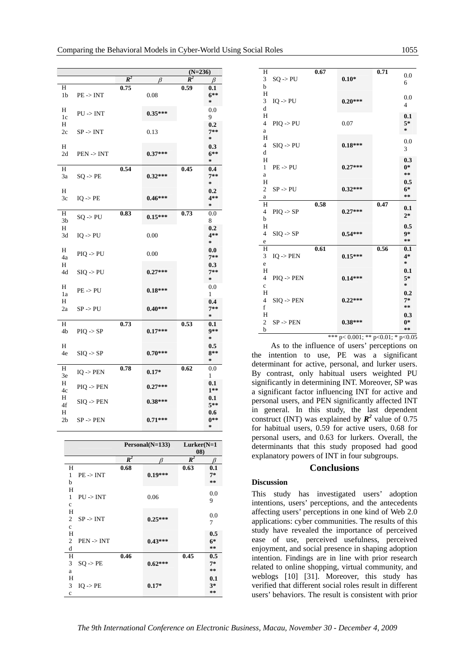|                     |                       |       |           | $(N=236)$      |                                          |  |
|---------------------|-----------------------|-------|-----------|----------------|------------------------------------------|--|
|                     |                       | $R^2$ | B         | $\mathbb{R}^2$ | β                                        |  |
| Н<br>1b             | $PE \rightarrow INT$  | 0.75  | 0.08      | 0.59           | $\boldsymbol{0.1}$<br>$6**$<br>$\approx$ |  |
| Н<br>1c             | $PU \rightarrow INT$  |       | $0.35***$ |                | 0.0<br>9                                 |  |
| H<br>2c             | $SP \rightarrow INT$  |       | 0.13      |                | 0.2<br>$7**$<br>$\approx$                |  |
| H<br>2d             | $PEN \rightarrow INT$ |       | $0.37***$ |                | 0.3<br>$6***$<br>$\star$                 |  |
| H<br>3a             | $SQ \rightarrow PE$   | 0.54  | $0.32***$ | 0.45           | 0.4<br>$7**$<br>$\star$                  |  |
| Н<br>3c             | $IQ \rightarrow PE$   |       | $0.46***$ |                | 0.2<br>$4**$<br>$\approx$                |  |
| H<br>3 <sub>b</sub> | $SQ \rightarrow PU$   | 0.83  | $0.15***$ | 0.73           | 0.0<br>8                                 |  |
| H<br>3d             | $IQ \rightarrow PU$   |       | 0.00      |                | 0.2<br>$4**$<br>$\approx$                |  |
| Н<br>4a             | $PIQ \rightarrow PU$  |       | 0.00      |                | 0.0<br>$7**$                             |  |
| H<br>4d             | $SIQ \rightarrow PU$  |       | $0.27***$ |                | 0.3<br>$7**$<br>$\star$                  |  |
| Н<br>1a             | $PE - > PU$           |       | $0.18***$ |                | 0.0<br>1                                 |  |
| Н<br>2a             | $SP \rightarrow PU$   |       | $0.40***$ |                | 0.4<br>$7**$<br>$\star$                  |  |
| Н<br>4b             | $PIQ \rightarrow SP$  | 0.73  | $0.17***$ | 0.53           | 0.1<br>9**<br>$\approx$                  |  |
| H<br>4e             | $SIQ \rightarrow SP$  |       | $0.70***$ |                | 0.5<br>$8**$<br>$\approx$                |  |
| Н<br>3e             | $IQ \rightarrow PEN$  | 0.78  | $0.17*$   | 0.62           | 0.0<br>1                                 |  |
| H<br>4c             | $PIO \rightarrow PEN$ |       | $0.27***$ |                | 0.1<br>$1**$                             |  |
| Н<br>4f<br>Н        | $SIQ \rightarrow PEN$ |       | $0.38***$ |                | 0.1<br>$5**$<br>0.6                      |  |
| 2 <sub>b</sub>      | $SP \rightarrow PEN$  |       | $0.71***$ |                | $0**$<br>$\star$                         |  |

|                            |                | Personal(N=133) | $Lurker(N=1)$  |       |  |
|----------------------------|----------------|-----------------|----------------|-------|--|
|                            |                |                 | (08)           |       |  |
|                            | $\mathbb{R}^2$ | ß               | $\mathbb{R}^2$ | ß     |  |
| H                          | 0.68           |                 | 0.63           | 0.1   |  |
| $PE \rightarrow INT$<br>1  |                | $0.19***$       |                | $7*$  |  |
| b                          |                |                 |                | $* *$ |  |
| H                          |                |                 |                | 0.0   |  |
| 1<br>$PU \rightarrow INT$  |                | 0.06            |                |       |  |
| $\mathbf c$                |                |                 |                | 9     |  |
| H                          |                |                 |                |       |  |
| $SP \rightarrow INT$<br>2  |                | $0.25***$       |                | 0.0   |  |
| $\mathbf{c}$               |                |                 |                | 7     |  |
| H                          |                |                 |                | 0.5   |  |
| $PEN \rightarrow INT$<br>2 |                | $0.43***$       |                | $6*$  |  |
| d                          |                |                 |                | $* *$ |  |
| H                          | 0.46           |                 | 0.45           | 0.5   |  |
| 3<br>$SO \rightarrow PE$   |                | $0.62***$       |                | $7*$  |  |
| a                          |                |                 |                | $* *$ |  |
| H                          |                |                 |                | 0.1   |  |
| 3<br>$IO \rightarrow PE$   |                | $0.17*$         |                | $3*$  |  |
| $\mathbf c$                |                |                 |                | $* *$ |  |
|                            |                |                 |                |       |  |

| H<br>3         | $SQ \rightarrow PU$   | 0.67 | $0.10*$   | 0.71 | 0.0             |
|----------------|-----------------------|------|-----------|------|-----------------|
| b              |                       |      |           |      | 6               |
| H              |                       |      |           |      |                 |
| 3              | $IQ \rightarrow PU$   |      | $0.20***$ |      | 0.0             |
| d              |                       |      |           |      | $\overline{4}$  |
| H              |                       |      |           |      | 0.1             |
| $\overline{4}$ | $PIQ \rightarrow PU$  |      | 0.07      |      | $5*$            |
| a              |                       |      |           |      | $\ast$          |
| H              |                       |      |           |      |                 |
| 4              | $SIQ \rightarrow PU$  |      | $0.18***$ |      | 0.0             |
| d              |                       |      |           |      | 3               |
| H              |                       |      |           |      | 0.3             |
| $\mathbf{1}$   | $PE \rightarrow PU$   |      | $0.27***$ |      | $0*$            |
|                |                       |      |           |      | $* *$           |
| a              |                       |      |           |      |                 |
| H              |                       |      |           |      | 0.5             |
| $\overline{c}$ | $SP \rightarrow PU$   |      | $0.32***$ |      | $6*$<br>**      |
| a              |                       |      |           |      |                 |
| H              |                       | 0.58 |           | 0.47 | 0.1             |
| $\overline{4}$ | $PIQ \rightarrow SP$  |      | $0.27***$ |      | $2*$            |
| b              |                       |      |           |      |                 |
| H              |                       |      |           |      | 0.5             |
| $\overline{4}$ | $SIQ \rightarrow SP$  |      | $0.54***$ |      | $9*$            |
| e              |                       |      |           |      | $\star$ $\star$ |
| H              |                       | 0.61 |           | 0.56 | 0.1             |
| 3              | $IQ \rightarrow PEN$  |      | $0.15***$ |      | $4*$            |
| e              |                       |      |           |      | $\ast$          |
| H              |                       |      |           |      | 0.1             |
| $\overline{4}$ | $PIQ \rightarrow PEN$ |      | $0.14***$ |      | $5*$            |
| $\mathbf{c}$   |                       |      |           |      | $\ast$          |
| H              |                       |      |           |      | 0.2             |
| $\overline{4}$ | $SIQ \rightarrow PEN$ |      | $0.22***$ |      | $7*$            |
| f              |                       |      |           |      | $***$           |
| H              |                       |      |           |      | 0.3             |
| $\overline{2}$ | $SP \rightarrow PEN$  |      | $0.38***$ |      | $0*$            |
| b              |                       |      |           |      | **              |
|                |                       |      |           |      |                 |

\*\*\* p< 0.001; \*\* p<0.01; \* p<0.05 As to the influence of users' perceptions on the intention to use, PE was a significant determinant for active, personal, and lurker users. By contrast, only habitual users weighted PU significantly in determining INT. Moreover, SP was a significant factor influencing INT for active and personal users, and PEN significantly affected INT in general. In this study, the last dependent construct (INT) was explained by  $\mathbb{R}^2$  value of 0.75 for habitual users, 0.59 for active users, 0.68 for personal users, and 0.63 for lurkers. Overall, the determinants that this study proposed had good explanatory powers of INT in four subgroups.

#### **Conclusions**

## **Discussion**

This study has investigated users' adoption intentions, users' perceptions, and the antecedents affecting users' perceptions in one kind of Web 2.0 applications: cyber communities. The results of this study have revealed the importance of perceived ease of use, perceived usefulness, perceived enjoyment, and social presence in shaping adoption intention. Findings are in line with prior research related to online shopping, virtual community, and weblogs [10] [31]. Moreover, this study has verified that different social roles result in different users' behaviors. The result is consistent with prior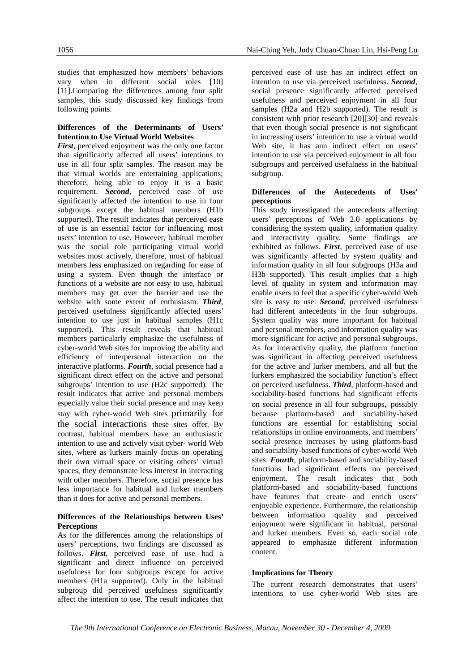studies that emphasized how members' behaviors vary when in different social roles [10] [11].Comparing the differences among four split samples, this study discussed key findings from following points.

#### **Differences of the Determinants of Users' Intention to Use Virtual World Websites**

*First*, perceived enjoyment was the only one factor that significantly affected all users' intentions to use in all four split samples. The reason may be that virtual worlds are entertaining applications; therefore, being able to enjoy it is a basic requirement. *Second*, perceived ease of use significantly affected the intention to use in four subgroups except the habitual members (H1b supported). The result indicates that perceived ease of use is an essential factor for influencing most users' intention to use. However, habitual member was the social role participating virtual world websites most actively, therefore, most of habitual members less emphasized on regarding for ease of using a system. Even though the interface or functions of a website are not easy to use, habitual members may get over the barrier and use the website with some extent of enthusiasm. *Third*, perceived usefulness significantly affected users' intention to use just in habitual samples (H1c) supported). This result reveals that habitual members particularly emphasize the usefulness of cyber-world Web sites for improving the ability and efficiency of interpersonal interaction on the interactive platforms. *Fourth*, social presence had a significant direct effect on the active and personal subgroups' intention to use (H2c supported). The result indicates that active and personal members especially value their social presence and may keep stay with cyber-world Web sites primarily for the social interactions these sites offer. By contrast, habitual members have an enthusiastic intention to use and actively visit cyber- world Web sites, where as lurkers mainly focus on operating their own virtual space or visiting others' virtual spaces, they demonstrate less interest in interacting with other members. Therefore, social presence has less importance for habitual and lurker members than it does for active and personal members.

#### **Differences of the Relationships between Uses' Perceptions**

As for the differences among the relationships of users' perceptions, two findings are discussed as follows. *First*, perceived ease of use had a significant and direct influence on perceived usefulness for four subgroups except for active members (H1a supported). Only in the habitual subgroup did perceived usefulness significantly affect the intention to use. The result indicates that perceived ease of use has an indirect effect on intention to use via perceived usefulness. *Second*, social presence significantly affected perceived usefulness and perceived enjoyment in all four samples (H2a and H2b supported). The result is consistent with prior research [20][30] and reveals that even though social presence is not significant in increasing users' intention to use a virtual world Web site, it has ann indirect effect on users' intention to use via perceived enjoyment in all four subgroups and perceived usefulness in the habitual subgroup.

## **Differences of the Antecedents of Uses' perceptions**

This study investigated the antecedents affecting users' perceptions of Web 2.0 applications by considering the system quality, information quality and interactivity quality. Some findings are exhibited as follows. *First*, perceived ease of use was significantly affected by system quality and information quality in all four subgroups (H3a and H3b supported). This result implies that a high level of quality in system and information may enable users to feel that a specific cyber-world Web site is easy to use. *Second*, perceived usefulness had different antecedents in the four subgroups. System quality was more important for habitual and personal members, and information quality was more significant for active and personal subgroups. As for interactivity quality, the platform function was significant in affecting perceived usefulness for the active and lurker members, and all but the lurkers emphasized the sociability function's effect on perceived usefulness. *Third*, platform-based and sociability-based functions had significant effects on social presence in all four subgroups, possibly because platform-based and sociability-based functions are essential for establishing social relationships in online environments, and members' social presence increases by using platform-basd and sociability-based functions of cyber-world Web sites. *Fourth*, platform-based and sociability-based functions had significant effects on perceived enjoyment. The result indicates that both platform-based and sociability-based functions have features that create and enrich users' enjoyable experience. Furthermore, the relationship between information quality and perceived enjoyment were significant in habitual, personal and lurker members. Even so, each social role appeared to emphasize different information content.

## **Implications for Theory**

The current research demonstrates that users' intentions to use cyber-world Web sites are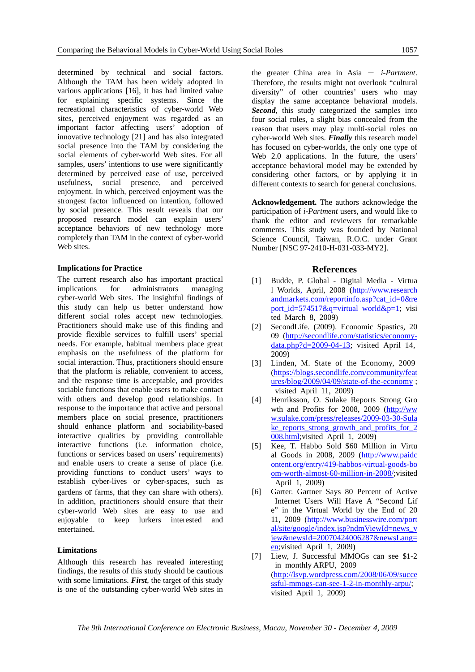determined by technical and social factors. Although the TAM has been widely adopted in various applications [16], it has had limited value for explaining specific systems. Since the recreational characteristics of cyber-world Web sites, perceived enjoyment was regarded as an important factor affecting users' adoption of innovative technology [21] and has also integrated social presence into the TAM by considering the social elements of cyber-world Web sites. For all samples, users' intentions to use were significantly determined by perceived ease of use, perceived usefulness, social presence, and perceived enjoyment. In which, perceived enjoyment was the strongest factor influenced on intention, followed by social presence. This result reveals that our proposed research model can explain users' acceptance behaviors of new technology more completely than TAM in the context of cyber-world Web sites.

#### **Implications for Practice**

The current research also has important practical implications for administrators managing cyber-world Web sites. The insightful findings of this study can help us better understand how different social roles accept new technologies. Practitioners should make use of this finding and provide flexible services to fulfill users' special needs. For example, habitual members place great emphasis on the usefulness of the platform for social interaction. Thus, practitioners should ensure that the platform is reliable, convenient to access, and the response time is acceptable, and provides sociable functions that enable users to make contact with others and develop good relationships. In response to the importance that active and personal members place on social presence, practitioners should enhance platform and sociability-based interactive qualities by providing controllable interactive functions (i.e. information choice, functions or services based on users' requirements) and enable users to create a sense of place (i.e. providing functions to conduct users' ways to establish cyber-lives or cyber-spaces, such as gardens or farms, that they can share with others). In addition, practitioners should ensure that their cyber-world Web sites are easy to use and enjoyable to keep lurkers interested and entertained.

#### **Limitations**

Although this research has revealed interesting findings, the results of this study should be cautious with some limitations. *First*, the target of this study is one of the outstanding cyber-world Web sites in

the greater China area in Asia  $-$  *i-Partment*. Therefore, the results might not overlook "cultural diversity" of other countries' users who may display the same acceptance behavioral models. **Second**, this study categorized the samples into four social roles, a slight bias concealed from the reason that users may play multi-social roles on cyber-world Web sites. *Finally* this research model has focused on cyber-worlds, the only one type of Web 2.0 applications. In the future, the users' acceptance behavioral model may be extended by considering other factors, or by applying it in different contexts to search for general conclusions.

**Acknowledgement.** The authors acknowledge the participation of *i-Partment* users, and would like to thank the editor and reviewers for remarkable comments. This study was founded by National Science Council, Taiwan, R.O.C. under Grant Number [NSC 97-2410-H-031-033-MY2].

#### **References**

- [1] Budde, P. Global Digital Media Virtua l Worlds, April, 2008 (http://www.research andmarkets.com/reportinfo.asp?cat\_id=0&re port\_id=574517&q=virtual world&p=1; visi ted March 8, 2009)
- [2] SecondLife. (2009). Economic Spastics, 20 09 (http://secondlife.com/statistics/economydata.php?d=2009-04-13; visited April 14, 2009)
- [3] Linden, M. State of the Economy, 2009 (https://blogs.secondlife.com/community/feat ures/blog/2009/04/09/state-of-the-economy ; visited April 11, 2009)
- [4] Henriksson, O. Sulake Reports Strong Gro wth and Profits for 2008, 2009 (http://ww w.sulake.com/press/releases/2009-03-30-Sula ke reports strong growth and profits for 2 008.html;visited April 1, 2009)
- [5] Kee, T. Habbo Sold \$60 Million in Virtu al Goods in 2008, 2009 (http://www.paidc ontent.org/entry/419-habbos-virtual-goods-bo om-worth-almost-60-million-in-2008/;visited April 1, 2009)
- [6] Garter. Gartner Says 80 Percent of Active Internet Users Will Have A "Second Lif e" in the Virtual World by the End of 20 11, 2009 (http://www.businesswire.com/port al/site/google/index.jsp?ndmViewId=news\_v iew&newsId=20070424006287&newsLang= en;visited April 1, 2009)
- [7] Liew, J. Successful MMOGs can see \$1-2 in monthly ARPU, 2009 (http://lsvp.wordpress.com/2008/06/09/succe ssful-mmogs-can-see-1-2-in-monthly-arpu/; visited April 1, 2009)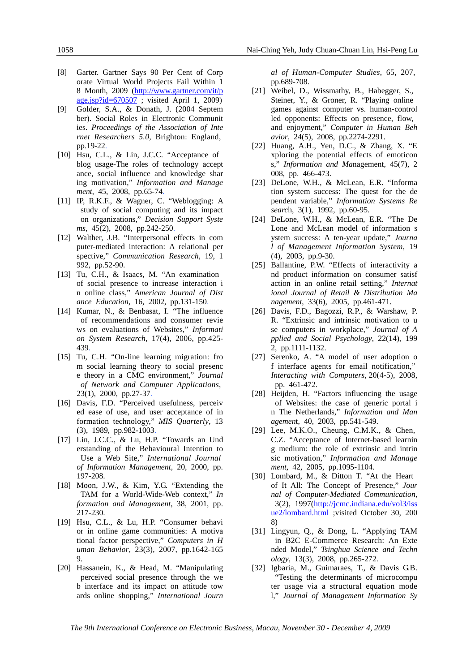- [8] Garter. Gartner Says 90 Per Cent of Corp orate Virtual World Projects Fail Within 1 8 Month, 2009 (http://www.gartner.com/it/p age.jsp?id=670507 ; visited April 1, 2009)
- [9] Golder, S.A., & Donath, J. (2004 Septem ber). Social Roles in Electronic Communit ies. *Proceedings of the Association of Inte rnet Researchers 5.0,* Brighton: England, pp.19-22.
- [10] Hsu, C.L., & Lin, J.C.C. "Acceptance of blog usage-The roles of technology accept ance, social influence and knowledge shar ing motivation," *Information and Manage ment*, 45, 2008, pp.65-74.
- [11] IP, R.K.F., & Wagner, C. "Weblogging: A study of social computing and its impact on organizations," *Decision Support Syste ms*, 45(2), 2008, pp.242-250.
- [12] Walther, J.B. "Interpersonal effects in com puter-mediated interaction: A relational per spective," *Communication Research*, 19, 1 992, pp.52-90.
- [13] Tu, C.H., & Isaacs, M. "An examination of social presence to increase interaction i n online class," *American Journal of Dist ance Education*, 16, 2002, pp.131-150.
- [14] Kumar, N., & Benbasat, I. "The influence of recommendations and consumer revie ws on evaluations of Websites," *Informati on System Research*, 17(4), 2006, pp.425- 439.
- [15] Tu, C.H. "On-line learning migration: fro m social learning theory to social presenc e theory in a CMC environment," *Journal of Network and Computer Applications*, 23(1), 2000, pp.27-37.
- [16] Davis, F.D. "Perceived usefulness, perceiv ed ease of use, and user acceptance of in formation technology," *MIS Quarterly*, 13 (3), 1989, pp.982-1003.
- [17] Lin, J.C.C., & Lu, H.P. "Towards an Und erstanding of the Behavioural Intention to Use a Web Site," *International Journal of Information Management*, 20, 2000, pp. 197-208.
- [18] Moon, J.W., & Kim, Y.G. "Extending the TAM for a World-Wide-Web context," *In formation and Management*, 38, 2001, pp. 217-230.
- [19] Hsu, C.L., & Lu, H.P. "Consumer behavi or in online game communities: A motiva tional factor perspective," *Computers in H uman Behavior*, 23(3), 2007, pp.1642-165  $\mathbf{Q}$
- [20] Hassanein, K., & Head, M. "Manipulating perceived social presence through the we b interface and its impact on attitude tow ards online shopping," *International Journ*

*al of Human-Computer Studies*, 65, 207, pp.689-708.

- [21] Weibel, D., Wissmathy, B., Habegger, S., Steiner, Y., & Groner, R. "Playing online games against computer vs. human-control led opponents: Effects on presence, flow, and enjoyment," *Computer in Human Beh avior*, 24(5), 2008, pp.2274-2291.
- [22] Huang, A.H., Yen, D.C., & Zhang, X. "E xploring the potential effects of emoticon s," *Information and Ma*nagement, 45(7), 2 008, pp. 466-473.
- [23] DeLone, W.H., & McLean, E.R. "Informa tion system success: The quest for the de pendent variable," *Information Systems Re searc*h, 3(1), 1992, pp.60-95.
- [24] DeLone, W.H., & McLean, E.R. "The De Lone and McLean model of information s ystem success: A ten-year update," *Journa l of Management Information System*, 19 (4), 2003, pp.9-30.
- [25] Ballantine, P.W. "Effects of interactivity a nd product information on consumer satisf action in an online retail setting," *Internat ional Journal of Retail & Distribution Ma nagement*, 33(6), 2005, pp.461-471.
- [26] Davis, F.D., Bagozzi, R.P., & Warshaw, P. R. "Extrinsic and intrinsic motivation to u se computers in workplace," *Journal of A pplied and Social Psychology*, 22(14), 199 2, pp.1111-1132.
- [27] Serenko, A. "A model of user adoption o f interface agents for email notification," *Interacting with Computers*, 20(4-5), 2008, pp. 461-472.
- [28] Heijden, H. "Factors influencing the usage of Websites: the case of generic portal i n The Netherlands," *Information and Man agemen*t, 40, 2003, pp.541-549.
- [29] Lee, M.K.O., Cheung, C.M.K., & Chen, C.Z. "Acceptance of Internet-based learnin g medium: the role of extrinsic and intrin sic motivation," *Information and Manage ment*, 42, 2005, pp.1095-1104.
- [30] Lombard, M., & Ditton T. "At the Heart of It All: The Concept of Presence," *Jour nal of Computer-Mediated Communication*, 3(2), 1997(http://jcmc.indiana.edu/vol3/iss ue2/lombard.html ;visited October 30, 200 8)
- [31] Lingyun, Q., & Dong, L. "Applying TAM in B2C E-Commerce Research: An Exte nded Model," *Tsinghua Science and Techn ology*, 13(3), 2008, pp.265-272.
- [32] Igbaria, M., Guimaraes, T., & Davis G.B. "Testing the determinants of microcompu ter usage via a structural equation mode l," *Journal of Management Information Sy*